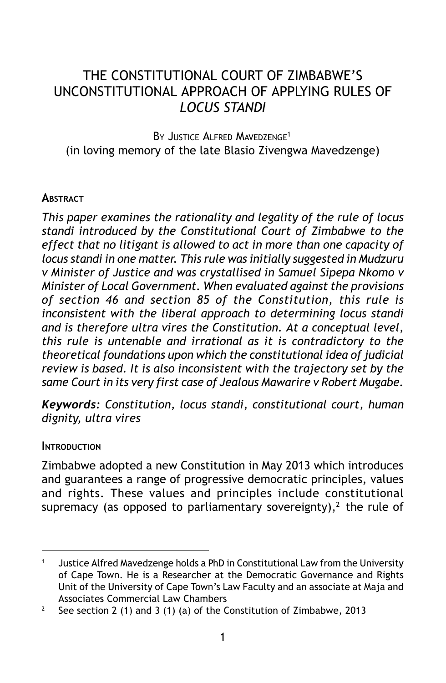# THE CONSTITUTIONAL COURT OF ZIMBABWE'S UNCONSTITUTIONAL APPROACH OF APPLYING RULES OF *LOCUS STANDI*

BY JUSTICE ALFRED MAVEDZENGE<sup>1</sup> (in loving memory of the late Blasio Zivengwa Mavedzenge)

#### **ABSTRACT**

*This paper examines the rationality and legality of the rule of locus standi introduced by the Constitutional Court of Zimbabwe to the effect that no litigant is allowed to act in more than one capacity of locus standi in one matter. This rule was initially suggested in Mudzuru v Minister of Justice and was crystallised in Samuel Sipepa Nkomo v Minister of Local Government. When evaluated against the provisions of section 46 and section 85 of the Constitution, this rule is inconsistent with the liberal approach to determining locus standi and is therefore ultra vires the Constitution. At a conceptual level, this rule is untenable and irrational as it is contradictory to the theoretical foundations upon which the constitutional idea of judicial review is based. It is also inconsistent with the trajectory set by the same Court in its very first case of Jealous Mawarire v Robert Mugabe.*

*Keywords: Constitution, locus standi, constitutional court, human dignity, ultra vires*

#### **INTRODUCTION**

Zimbabwe adopted a new Constitution in May 2013 which introduces and guarantees a range of progressive democratic principles, values and rights. These values and principles include constitutional supremacy (as opposed to parliamentary sovereignty),<sup>2</sup> the rule of

<sup>&</sup>lt;sup>1</sup> Justice Alfred Mavedzenge holds a PhD in Constitutional Law from the University of Cape Town. He is a Researcher at the Democratic Governance and Rights Unit of the University of Cape Town's Law Faculty and an associate at Maja and Associates Commercial Law Chambers

<sup>&</sup>lt;sup>2</sup> See section 2 (1) and 3 (1) (a) of the Constitution of Zimbabwe, 2013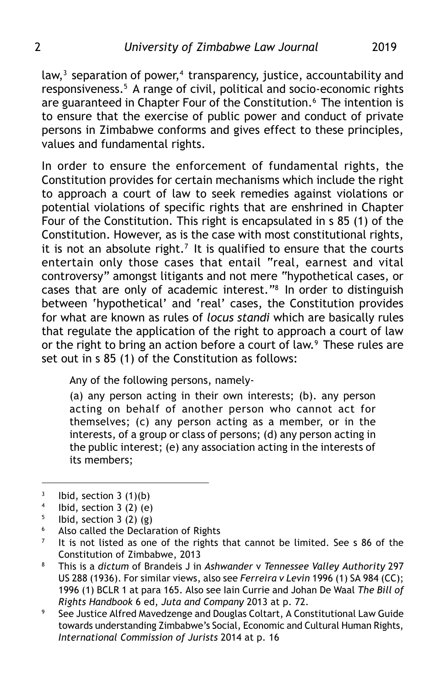law, $3$  separation of power, $4$  transparency, justice, accountability and responsiveness.5 A range of civil, political and socio-economic rights are guaranteed in Chapter Four of the Constitution.<sup>6</sup> The intention is to ensure that the exercise of public power and conduct of private persons in Zimbabwe conforms and gives effect to these principles, values and fundamental rights.

In order to ensure the enforcement of fundamental rights, the Constitution provides for certain mechanisms which include the right to approach a court of law to seek remedies against violations or potential violations of specific rights that are enshrined in Chapter Four of the Constitution. This right is encapsulated in s 85 (1) of the Constitution. However, as is the case with most constitutional rights, it is not an absolute right.<sup>7</sup> It is qualified to ensure that the courts entertain only those cases that entail "real, earnest and vital controversy" amongst litigants and not mere "hypothetical cases, or cases that are only of academic interest."8 In order to distinguish between 'hypothetical' and 'real' cases, the Constitution provides for what are known as rules of *locus standi* which are basically rules that regulate the application of the right to approach a court of law or the right to bring an action before a court of law.<sup>9</sup> These rules are set out in s 85 (1) of the Constitution as follows:

Any of the following persons, namely-

(a) any person acting in their own interests; (b). any person acting on behalf of another person who cannot act for themselves; (c) any person acting as a member, or in the interests, of a group or class of persons; (d) any person acting in the public interest; (e) any association acting in the interests of its members;

Ibid, section  $3$  (2) (g)

 $3$  Ibid, section 3 (1)(b)

<sup>&</sup>lt;sup>4</sup> Ibid, section 3 (2) (e)<br><sup>5</sup> Ibid section 3 (2) (g)

<sup>&</sup>lt;sup>6</sup> Also called the Declaration of Rights

 $7$  It is not listed as one of the rights that cannot be limited. See s 86 of the Constitution of Zimbabwe, 2013

<sup>8</sup> This is a *dictum* of Brandeis J in *Ashwander* v *Tennessee Valley Authority* 297 US 288 (1936). For similar views, also see *Ferreira v Levin* 1996 (1) SA 984 (CC); 1996 (1) BCLR 1 at para 165. Also see Iain Currie and Johan De Waal *The Bill of Rights Handbook* 6 ed, *Juta and Company* 2013 at p. 72.

<sup>&</sup>lt;sup>9</sup> See Justice Alfred Mavedzenge and Douglas Coltart, A Constitutional Law Guide towards understanding Zimbabwe's Social, Economic and Cultural Human Rights, *International Commission of Jurists* 2014 at p. 16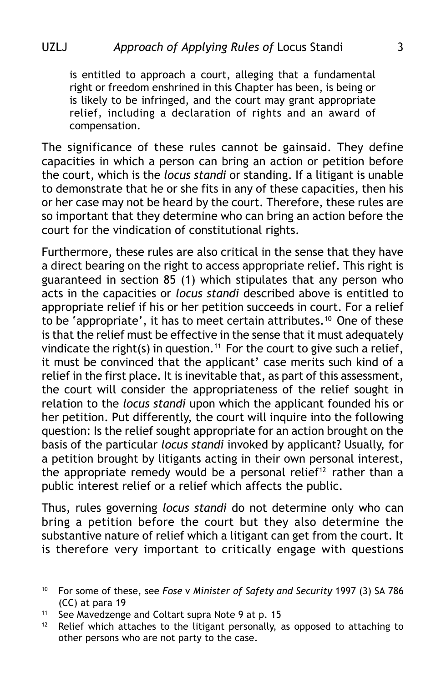is entitled to approach a court, alleging that a fundamental right or freedom enshrined in this Chapter has been, is being or is likely to be infringed, and the court may grant appropriate relief, including a declaration of rights and an award of compensation.

The significance of these rules cannot be gainsaid. They define capacities in which a person can bring an action or petition before the court, which is the *locus standi* or standing. If a litigant is unable to demonstrate that he or she fits in any of these capacities, then his or her case may not be heard by the court. Therefore, these rules are so important that they determine who can bring an action before the court for the vindication of constitutional rights.

Furthermore, these rules are also critical in the sense that they have a direct bearing on the right to access appropriate relief. This right is guaranteed in section 85 (1) which stipulates that any person who acts in the capacities or *locus standi* described above is entitled to appropriate relief if his or her petition succeeds in court. For a relief to be 'appropriate', it has to meet certain attributes.<sup>10</sup> One of these is that the relief must be effective in the sense that it must adequately vindicate the right(s) in question.<sup>11</sup> For the court to give such a relief, it must be convinced that the applicant' case merits such kind of a relief in the first place. It is inevitable that, as part of this assessment, the court will consider the appropriateness of the relief sought in relation to the *locus standi* upon which the applicant founded his or her petition. Put differently, the court will inquire into the following question: Is the relief sought appropriate for an action brought on the basis of the particular *locus standi* invoked by applicant? Usually, for a petition brought by litigants acting in their own personal interest, the appropriate remedy would be a personal relief<sup>12</sup> rather than a public interest relief or a relief which affects the public.

Thus, rules governing *locus standi* do not determine only who can bring a petition before the court but they also determine the substantive nature of relief which a litigant can get from the court. It is therefore very important to critically engage with questions

<sup>10</sup> For some of these, see *Fose* v *Minister of Safety and Security* 1997 (3) SA 786 (CC) at para 19

<sup>11</sup> See Mavedzenge and Coltart supra Note 9 at p. 15

 $12$  Relief which attaches to the litigant personally, as opposed to attaching to other persons who are not party to the case.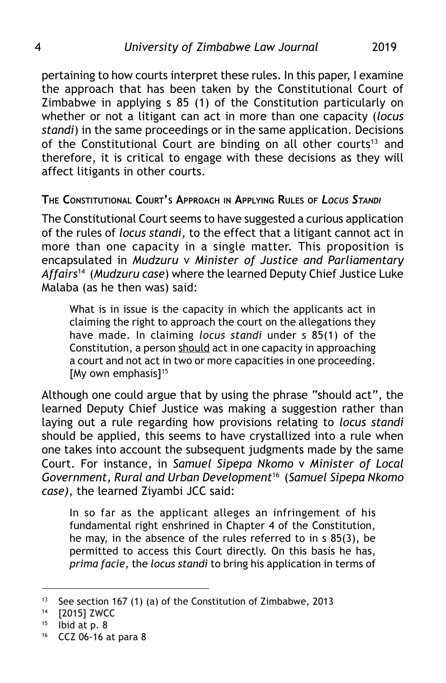pertaining to how courts interpret these rules. In this paper, I examine the approach that has been taken by the Constitutional Court of Zimbabwe in applying s 85 (1) of the Constitution particularly on whether or not a litigant can act in more than one capacity (*locus standi*) in the same proceedings or in the same application. Decisions of the Constitutional Court are binding on all other courts<sup>13</sup> and therefore, it is critical to engage with these decisions as they will affect litigants in other courts.

**THE CONSTITUTIONAL COURT'S APPROACH IN APPLYING RULES OF** *LOCUS STANDI*

The Constitutional Court seems to have suggested a curious application of the rules of *locus standi*, to the effect that a litigant cannot act in more than one capacity in a single matter. This proposition is encapsulated in *Mudzuru* v *Minister of Justice and Parliamentary Affairs*14 (*Mudzuru case*) where the learned Deputy Chief Justice Luke Malaba (as he then was) said:

What is in issue is the capacity in which the applicants act in claiming the right to approach the court on the allegations they have made. In claiming *locus standi* under s 85(1) of the Constitution, a person should act in one capacity in approaching a court and not act in two or more capacities in one proceeding. [My own emphasis]<sup>15</sup>

Although one could argue that by using the phrase "should act", the learned Deputy Chief Justice was making a suggestion rather than laying out a rule regarding how provisions relating to *locus standi* should be applied, this seems to have crystallized into a rule when one takes into account the subsequent judgments made by the same Court. For instance, in *Samuel Sipepa Nkomo* v *Minister of Local Government, Rural and Urban Development*16 (*Samuel Sipepa Nkomo case)*, the learned Ziyambi JCC said:

In so far as the applicant alleges an infringement of his fundamental right enshrined in Chapter 4 of the Constitution, he may, in the absence of the rules referred to in s 85(3), be permitted to access this Court directly. On this basis he has, *prima facie*, the *locus standi* to bring his application in terms of

<sup>&</sup>lt;sup>13</sup> See section 167 (1) (a) of the Constitution of Zimbabwe, 2013

<sup>14</sup> [2015] ZWCC

 $15$  Ibid at p. 8

<sup>16</sup> CCZ 06-16 at para 8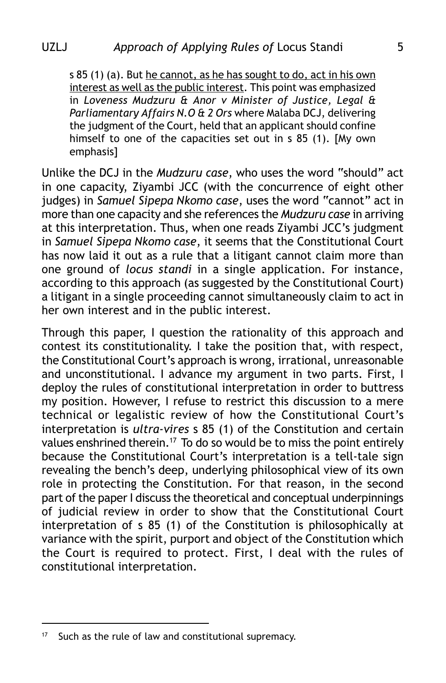s 85 (1) (a). But he cannot, as he has sought to do, act in his own interest as well as the public interest. This point was emphasized in *Loveness Mudzuru & Anor v Minister of Justice, Legal & Parliamentary Affairs N.O & 2 Ors* where Malaba DCJ, delivering the judgment of the Court, held that an applicant should confine himself to one of the capacities set out in s 85 (1). [My own emphasis]

Unlike the DCJ in the *Mudzuru case*, who uses the word "should" act in one capacity, Ziyambi JCC (with the concurrence of eight other judges) in *Samuel Sipepa Nkomo case*, uses the word "cannot" act in more than one capacity and she references the *Mudzuru case* in arriving at this interpretation. Thus, when one reads Ziyambi JCC's judgment in *Samuel Sipepa Nkomo case*, it seems that the Constitutional Court has now laid it out as a rule that a litigant cannot claim more than one ground of *locus standi* in a single application. For instance, according to this approach (as suggested by the Constitutional Court) a litigant in a single proceeding cannot simultaneously claim to act in her own interest and in the public interest.

Through this paper, I question the rationality of this approach and contest its constitutionality. I take the position that, with respect, the Constitutional Court's approach is wrong, irrational, unreasonable and unconstitutional. I advance my argument in two parts. First, I deploy the rules of constitutional interpretation in order to buttress my position. However, I refuse to restrict this discussion to a mere technical or legalistic review of how the Constitutional Court's interpretation is *ultra-vires* s 85 (1) of the Constitution and certain values enshrined therein.17 To do so would be to miss the point entirely because the Constitutional Court's interpretation is a tell-tale sign revealing the bench's deep, underlying philosophical view of its own role in protecting the Constitution. For that reason, in the second part of the paper I discuss the theoretical and conceptual underpinnings of judicial review in order to show that the Constitutional Court interpretation of s 85 (1) of the Constitution is philosophically at variance with the spirit, purport and object of the Constitution which the Court is required to protect. First, I deal with the rules of constitutional interpretation.

<sup>&</sup>lt;sup>17</sup> Such as the rule of law and constitutional supremacy.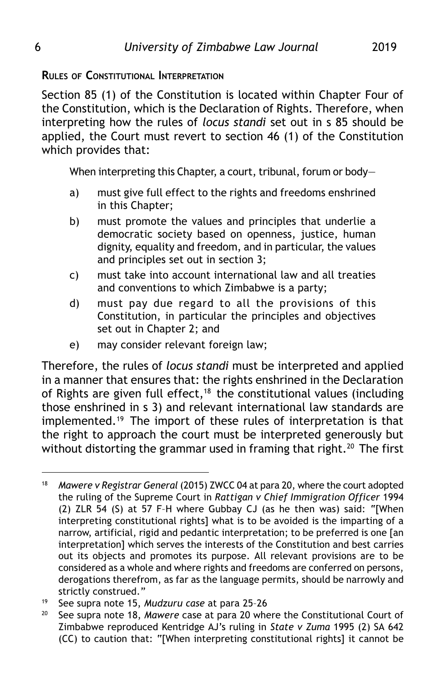**RULES OF CONSTITUTIONAL INTERPRETATION**

Section 85 (1) of the Constitution is located within Chapter Four of the Constitution, which is the Declaration of Rights. Therefore, when interpreting how the rules of *locus standi* set out in s 85 should be applied, the Court must revert to section 46 (1) of the Constitution which provides that:

When interpreting this Chapter, a court, tribunal, forum or body-

- a) must give full effect to the rights and freedoms enshrined in this Chapter;
- b) must promote the values and principles that underlie a democratic society based on openness, justice, human dignity, equality and freedom, and in particular, the values and principles set out in section 3;
- c) must take into account international law and all treaties and conventions to which Zimbabwe is a party;
- d) must pay due regard to all the provisions of this Constitution, in particular the principles and objectives set out in Chapter 2; and
- e) may consider relevant foreign law;

Therefore, the rules of *locus standi* must be interpreted and applied in a manner that ensures that: the rights enshrined in the Declaration of Rights are given full effect,<sup>18</sup> the constitutional values (including those enshrined in s 3) and relevant international law standards are implemented.<sup>19</sup> The import of these rules of interpretation is that the right to approach the court must be interpreted generously but without distorting the grammar used in framing that right.<sup>20</sup> The first

<sup>&</sup>lt;sup>18</sup> Mawere v Registrar General (2015) ZWCC 04 at para 20, where the court adopted the ruling of the Supreme Court in *Rattigan v Chief Immigration Officer* 1994 (2) ZLR 54 (S) at 57 F–H where Gubbay CJ (as he then was) said: *"*[When interpreting constitutional rights] what is to be avoided is the imparting of a narrow, artificial, rigid and pedantic interpretation; to be preferred is one [an interpretation] which serves the interests of the Constitution and best carries out its objects and promotes its purpose. All relevant provisions are to be considered as a whole and where rights and freedoms are conferred on persons, derogations therefrom, as far as the language permits, should be narrowly and strictly construed."

<sup>19</sup> See supra note 15, *Mudzuru case* at para 25–26

<sup>20</sup> See supra note 18, *Mawere* case at para 20 where the Constitutional Court of Zimbabwe reproduced Kentridge AJ's ruling in *State v Zuma* 1995 (2) SA 642 (CC) to caution that: "[When interpreting constitutional rights] it cannot be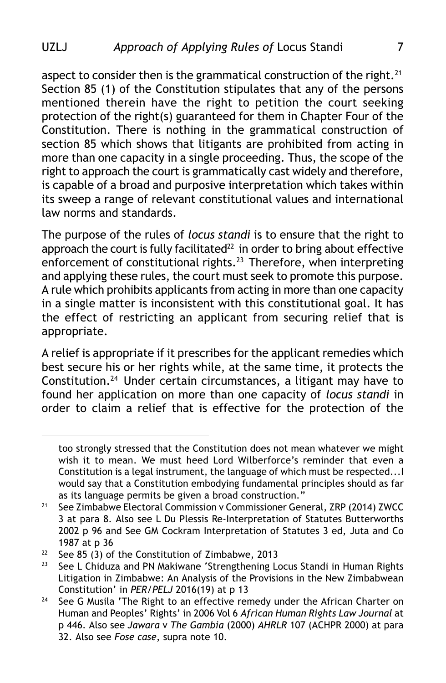aspect to consider then is the grammatical construction of the right.<sup>21</sup> Section 85 (1) of the Constitution stipulates that any of the persons mentioned therein have the right to petition the court seeking protection of the right(s) guaranteed for them in Chapter Four of the Constitution. There is nothing in the grammatical construction of section 85 which shows that litigants are prohibited from acting in more than one capacity in a single proceeding. Thus, the scope of the right to approach the court is grammatically cast widely and therefore, is capable of a broad and purposive interpretation which takes within its sweep a range of relevant constitutional values and international law norms and standards.

The purpose of the rules of *locus standi* is to ensure that the right to approach the court is fully facilitated $^{22}$  in order to bring about effective enforcement of constitutional rights.23 Therefore, when interpreting and applying these rules, the court must seek to promote this purpose. A rule which prohibits applicants from acting in more than one capacity in a single matter is inconsistent with this constitutional goal. It has the effect of restricting an applicant from securing relief that is appropriate.

A relief is appropriate if it prescribes for the applicant remedies which best secure his or her rights while, at the same time, it protects the Constitution.24 Under certain circumstances, a litigant may have to found her application on more than one capacity of *locus standi* in order to claim a relief that is effective for the protection of the

too strongly stressed that the Constitution does not mean whatever we might wish it to mean. We must heed Lord Wilberforce's reminder that even a Constitution is a legal instrument, the language of which must be respected...I would say that a Constitution embodying fundamental principles should as far as its language permits be given a broad construction."

<sup>&</sup>lt;sup>21</sup> See Zimbabwe Electoral Commission v Commissioner General, ZRP (2014) ZWCC 3 at para 8. Also see L Du Plessis Re-Interpretation of Statutes Butterworths 2002 p 96 and See GM Cockram Interpretation of Statutes 3 ed, Juta and Co 1987 at p 36

<sup>&</sup>lt;sup>22</sup> See 85 (3) of the Constitution of Zimbabwe, 2013<br><sup>23</sup> See L Chiduza and PN Makiwane 'Strengthening Le

See L Chiduza and PN Makiwane 'Strengthening Locus Standi in Human Rights Litigation in Zimbabwe: An Analysis of the Provisions in the New Zimbabwean Constitution' in *PER/PELJ* 2016(19) at p 13

<sup>&</sup>lt;sup>24</sup> See G Musila 'The Right to an effective remedy under the African Charter on Human and Peoples' Rights' in 2006 Vol 6 *African Human Rights Law Journal* at p 446. Also see *Jawara* v *The Gambia* (2000) *AHRLR* 107 (ACHPR 2000) at para 32. Also see *Fose case*, supra note 10.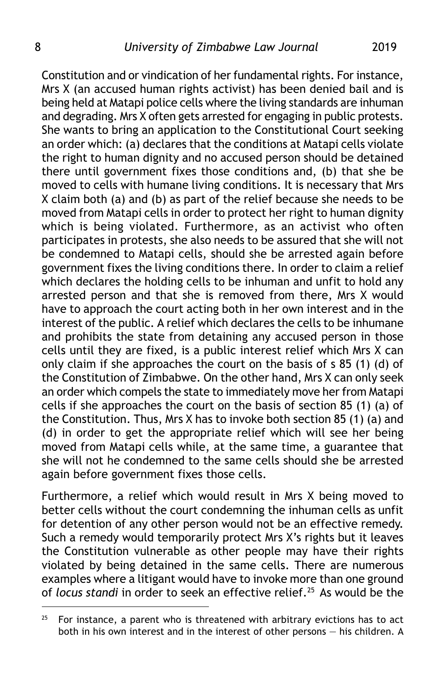Constitution and or vindication of her fundamental rights. For instance, Mrs X (an accused human rights activist) has been denied bail and is being held at Matapi police cells where the living standards are inhuman and degrading. Mrs X often gets arrested for engaging in public protests. She wants to bring an application to the Constitutional Court seeking an order which: (a) declares that the conditions at Matapi cells violate the right to human dignity and no accused person should be detained there until government fixes those conditions and, (b) that she be moved to cells with humane living conditions. It is necessary that Mrs X claim both (a) and (b) as part of the relief because she needs to be moved from Matapi cells in order to protect her right to human dignity which is being violated. Furthermore, as an activist who often participates in protests, she also needs to be assured that she will not be condemned to Matapi cells, should she be arrested again before government fixes the living conditions there. In order to claim a relief which declares the holding cells to be inhuman and unfit to hold any arrested person and that she is removed from there, Mrs X would have to approach the court acting both in her own interest and in the interest of the public. A relief which declares the cells to be inhumane and prohibits the state from detaining any accused person in those cells until they are fixed, is a public interest relief which Mrs X can only claim if she approaches the court on the basis of s 85 (1) (d) of the Constitution of Zimbabwe. On the other hand, Mrs X can only seek an order which compels the state to immediately move her from Matapi cells if she approaches the court on the basis of section 85 (1) (a) of the Constitution. Thus, Mrs X has to invoke both section 85 (1) (a) and (d) in order to get the appropriate relief which will see her being moved from Matapi cells while, at the same time, a guarantee that she will not he condemned to the same cells should she be arrested again before government fixes those cells.

Furthermore, a relief which would result in Mrs X being moved to better cells without the court condemning the inhuman cells as unfit for detention of any other person would not be an effective remedy. Such a remedy would temporarily protect Mrs X's rights but it leaves the Constitution vulnerable as other people may have their rights violated by being detained in the same cells. There are numerous examples where a litigant would have to invoke more than one ground of *locus standi* in order to seek an effective relief.25 As would be the

 $25$  For instance, a parent who is threatened with arbitrary evictions has to act both in his own interest and in the interest of other persons — his children. A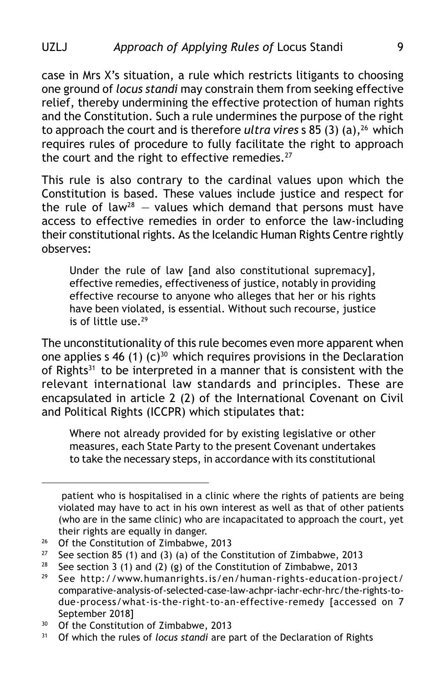case in Mrs X's situation, a rule which restricts litigants to choosing one ground of *locus standi* may constrain them from seeking effective relief, thereby undermining the effective protection of human rights and the Constitution. Such a rule undermines the purpose of the right to approach the court and is therefore *ultra vires* s 85 (3) (a),26 which requires rules of procedure to fully facilitate the right to approach the court and the right to effective remedies.<sup>27</sup>

This rule is also contrary to the cardinal values upon which the Constitution is based. These values include justice and respect for the rule of law<sup>28</sup> – values which demand that persons must have access to effective remedies in order to enforce the law-including their constitutional rights. As the Icelandic Human Rights Centre rightly observes:

Under the rule of law [and also constitutional supremacy], effective remedies, effectiveness of justice, notably in providing effective recourse to anyone who alleges that her or his rights have been violated, is essential. Without such recourse, justice is of little use.29

The unconstitutionality of this rule becomes even more apparent when one applies s 46 (1) (c)<sup>30</sup> which requires provisions in the Declaration of Rights<sup>31</sup> to be interpreted in a manner that is consistent with the relevant international law standards and principles. These are encapsulated in article 2 (2) of the International Covenant on Civil and Political Rights (ICCPR) which stipulates that:

Where not already provided for by existing legislative or other measures, each State Party to the present Covenant undertakes to take the necessary steps, in accordance with its constitutional

patient who is hospitalised in a clinic where the rights of patients are being violated may have to act in his own interest as well as that of other patients (who are in the same clinic) who are incapacitated to approach the court, yet their rights are equally in danger.

<sup>&</sup>lt;sup>26</sup> Of the Constitution of Zimbabwe, 2013

<sup>&</sup>lt;sup>27</sup> See section 85 (1) and (3) (a) of the Constitution of Zimbabwe, 2013<br><sup>28</sup> See section 3 (1) and (2) (g) of the Constitution of Zimbabwe, 2013

<sup>&</sup>lt;sup>28</sup> See section 3 (1) and (2) (g) of the Constitution of Zimbabwe, 2013<br><sup>29</sup> See http://www.humanrights.js/en/human-rights-education.

See http://www.humanrights.is/en/human-rights-education-project/ comparative-analysis-of-selected-case-law-achpr-iachr-echr-hrc/the-rights-todue-process/what-is-the-right-to-an-effective-remedy [accessed on 7 September 2018]

 $30$  Of the Constitution of Zimbabwe, 2013<br> $31$  Of which the rules of *locus standi* are n

<sup>31</sup> Of which the rules of *locus standi* are part of the Declaration of Rights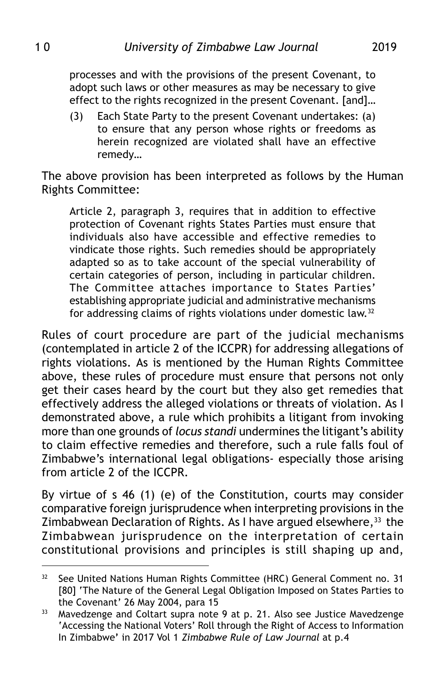processes and with the provisions of the present Covenant, to adopt such laws or other measures as may be necessary to give effect to the rights recognized in the present Covenant. [and]…

(3) Each State Party to the present Covenant undertakes: (a) to ensure that any person whose rights or freedoms as herein recognized are violated shall have an effective remedy…

The above provision has been interpreted as follows by the Human Rights Committee:

Article 2, paragraph 3, requires that in addition to effective protection of Covenant rights States Parties must ensure that individuals also have accessible and effective remedies to vindicate those rights. Such remedies should be appropriately adapted so as to take account of the special vulnerability of certain categories of person, including in particular children. The Committee attaches importance to States Parties' establishing appropriate judicial and administrative mechanisms for addressing claims of rights violations under domestic law.32

Rules of court procedure are part of the judicial mechanisms (contemplated in article 2 of the ICCPR) for addressing allegations of rights violations. As is mentioned by the Human Rights Committee above, these rules of procedure must ensure that persons not only get their cases heard by the court but they also get remedies that effectively address the alleged violations or threats of violation. As I demonstrated above, a rule which prohibits a litigant from invoking more than one grounds of *locus standi* undermines the litigant's ability to claim effective remedies and therefore, such a rule falls foul of Zimbabwe's international legal obligations- especially those arising from article 2 of the ICCPR.

By virtue of s 46 (1) (e) of the Constitution, courts may consider comparative foreign jurisprudence when interpreting provisions in the Zimbabwean Declaration of Rights. As I have argued elsewhere,<sup>33</sup> the Zimbabwean jurisprudence on the interpretation of certain constitutional provisions and principles is still shaping up and,

<sup>&</sup>lt;sup>32</sup> See United Nations Human Rights Committee (HRC) General Comment no. 31 [80] 'The Nature of the General Legal Obligation Imposed on States Parties to the Covenant' 26 May 2004, para 15

<sup>&</sup>lt;sup>33</sup> Mavedzenge and Coltart supra note 9 at p. 21. Also see Justice Mavedzenge 'Accessing the National Voters' Roll through the Right of Access to Information In Zimbabwe**'** in 2017 Vol 1 *Zimbabwe Rule of Law Journal* at p.4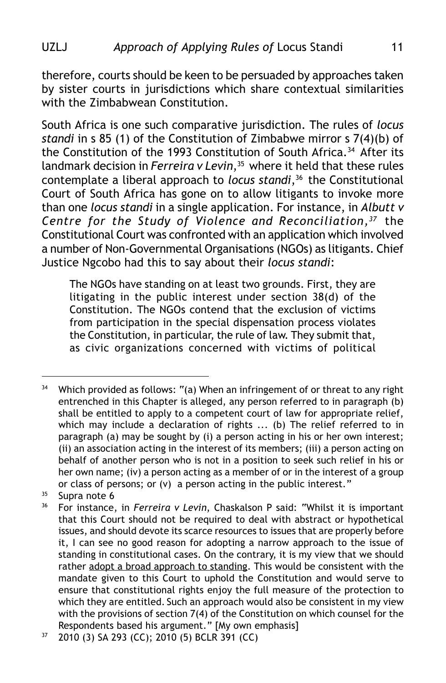### UZLJ *Approach of Applying Rules of* Locus Standi 11

therefore, courts should be keen to be persuaded by approaches taken by sister courts in jurisdictions which share contextual similarities with the Zimbabwean Constitution.

South Africa is one such comparative jurisdiction. The rules of *locus standi* in s 85 (1) of the Constitution of Zimbabwe mirror s 7(4)(b) of the Constitution of the 1993 Constitution of South Africa.<sup>34</sup> After its landmark decision in *Ferreira v Levin*,<sup>35</sup> where it held that these rules contemplate a liberal approach to *locus standi*,<sup>36</sup> the Constitutional Court of South Africa has gone on to allow litigants to invoke more than one *locus standi* in a single application. For instance, in *Albutt v Centre for the Study of Violence and Reconciliation,37* the Constitutional Court was confronted with an application which involved a number of Non-Governmental Organisations (NGOs) as litigants. Chief Justice Ngcobo had this to say about their *locus standi*:

The NGOs have standing on at least two grounds. First, they are litigating in the public interest under section 38(d) of the Constitution. The NGOs contend that the exclusion of victims from participation in the special dispensation process violates the Constitution, in particular, the rule of law. They submit that, as civic organizations concerned with victims of political

<sup>&</sup>lt;sup>34</sup> Which provided as follows: "(a) When an infringement of or threat to any right entrenched in this Chapter is alleged, any person referred to in paragraph (b) shall be entitled to apply to a competent court of law for appropriate relief, which may include a declaration of rights ... (b) The relief referred to in paragraph (a) may be sought by (i) a person acting in his or her own interest; (ii) an association acting in the interest of its members; (iii) a person acting on behalf of another person who is not in a position to seek such relief in his or her own name; (iv) a person acting as a member of or in the interest of a group or class of persons; or (v) a person acting in the public interest."

 $35$  Supra note 6

<sup>36</sup> For instance, in *Ferreira v Levin*, Chaskalson P said: "Whilst it is important that this Court should not be required to deal with abstract or hypothetical issues, and should devote its scarce resources to issues that are properly before it, I can see no good reason for adopting a narrow approach to the issue of standing in constitutional cases. On the contrary, it is my view that we should rather adopt a broad approach to standing. This would be consistent with the mandate given to this Court to uphold the Constitution and would serve to ensure that constitutional rights enjoy the full measure of the protection to which they are entitled. Such an approach would also be consistent in my view with the provisions of section 7(4) of the Constitution on which counsel for the Respondents based his argument." [My own emphasis]

<sup>37</sup> 2010 (3) SA 293 (CC); 2010 (5) BCLR 391 (CC)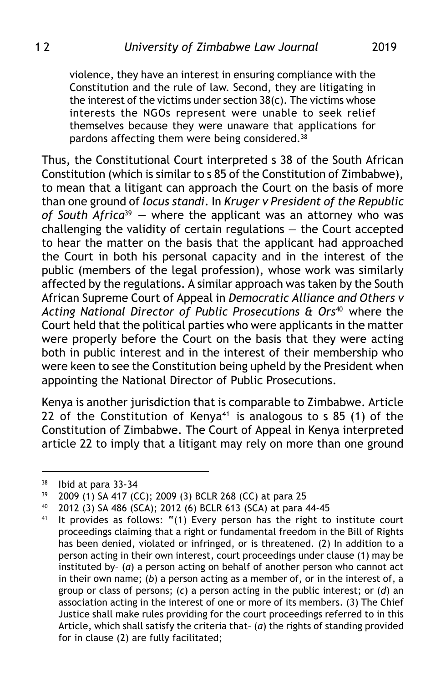violence, they have an interest in ensuring compliance with the Constitution and the rule of law. Second, they are litigating in the interest of the victims under section 38(c). The victims whose interests the NGOs represent were unable to seek relief themselves because they were unaware that applications for pardons affecting them were being considered. $38$ 

Thus, the Constitutional Court interpreted s 38 of the South African Constitution (which is similar to s 85 of the Constitution of Zimbabwe), to mean that a litigant can approach the Court on the basis of more than one ground of *locus standi*. In *Kruger v President of the Republic of South Africa*39 *—* where the applicant was an attorney who was challenging the validity of certain regulations — the Court accepted to hear the matter on the basis that the applicant had approached the Court in both his personal capacity and in the interest of the public (members of the legal profession), whose work was similarly affected by the regulations. A similar approach was taken by the South African Supreme Court of Appeal in *Democratic Alliance and Others v Acting National Director of Public Prosecutions & Ors*40 where the Court held that the political parties who were applicants in the matter were properly before the Court on the basis that they were acting both in public interest and in the interest of their membership who were keen to see the Constitution being upheld by the President when appointing the National Director of Public Prosecutions.

Kenya is another jurisdiction that is comparable to Zimbabwe. Article 22 of the Constitution of Kenya<sup>41</sup> is analogous to s 85 (1) of the Constitution of Zimbabwe. The Court of Appeal in Kenya interpreted article 22 to imply that a litigant may rely on more than one ground

<sup>38</sup> Ibid at para 33-34

<sup>39</sup> 2009 (1) SA 417 (CC); 2009 (3) BCLR 268 (CC) at para 25

<sup>40</sup> 2012 (3) SA 486 (SCA); 2012 (6) BCLR 613 (SCA) at para 44-45

<sup>41</sup> It provides as follows: **"**(1) Every person has the right to institute court proceedings claiming that a right or fundamental freedom in the Bill of Rights has been denied, violated or infringed, or is threatened. (2) In addition to a person acting in their own interest, court proceedings under clause (1) may be instituted by– (*a*) a person acting on behalf of another person who cannot act in their own name; (*b*) a person acting as a member of, or in the interest of, a group or class of persons; (*c*) a person acting in the public interest; or (*d*) an association acting in the interest of one or more of its members. (3) The Chief Justice shall make rules providing for the court proceedings referred to in this Article, which shall satisfy the criteria that– (*a*) the rights of standing provided for in clause (2) are fully facilitated;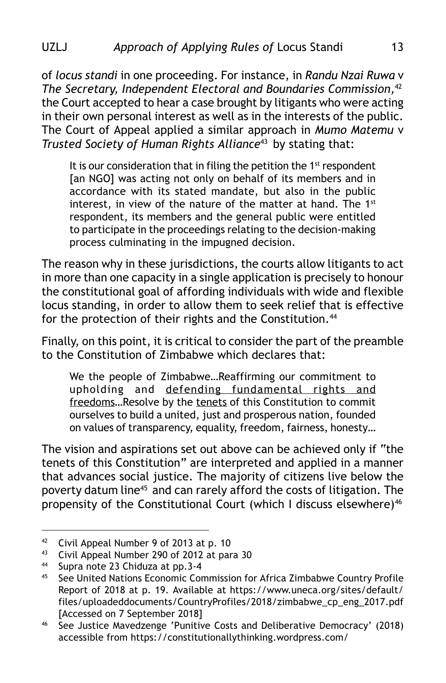of *locus standi* in one proceeding. For instance, in *Randu Nzai Ruwa* v *The Secretary, Independent Electoral and Boundaries Commission,*<sup>42</sup> the Court accepted to hear a case brought by litigants who were acting in their own personal interest as well as in the interests of the public. The Court of Appeal applied a similar approach in *Mumo Matemu* v *Trusted Society of Human Rights Alliance*43 by stating that:

It is our consideration that in filing the petition the  $1<sup>st</sup>$  respondent [an NGO] was acting not only on behalf of its members and in accordance with its stated mandate, but also in the public interest, in view of the nature of the matter at hand. The  $1<sup>st</sup>$ respondent, its members and the general public were entitled to participate in the proceedings relating to the decision-making process culminating in the impugned decision.

The reason why in these jurisdictions, the courts allow litigants to act in more than one capacity in a single application is precisely to honour the constitutional goal of affording individuals with wide and flexible locus standing, in order to allow them to seek relief that is effective for the protection of their rights and the Constitution.<sup>44</sup>

Finally, on this point, it is critical to consider the part of the preamble to the Constitution of Zimbabwe which declares that:

We the people of Zimbabwe…Reaffirming our commitment to upholding and defending fundamental rights and freedoms…Resolve by the tenets of this Constitution to commit ourselves to build a united, just and prosperous nation, founded on values of transparency, equality, freedom, fairness, honesty…

The vision and aspirations set out above can be achieved only if "the tenets of this Constitution" are interpreted and applied in a manner that advances social justice. The majority of citizens live below the poverty datum line<sup>45</sup> and can rarely afford the costs of litigation. The propensity of the Constitutional Court (which I discuss elsewhere)<sup>46</sup>

<sup>42</sup> Civil Appeal Number 9 of 2013 at p. 10

<sup>&</sup>lt;sup>43</sup> Civil Appeal Number 290 of 2012 at para 30<br><sup>44</sup> Sunta pote 23 Chiduza at pp. 3-4

<sup>&</sup>lt;sup>44</sup> Supra note 23 Chiduza at pp. 3-4<br><sup>45</sup> See United Nations Economic Cor

See United Nations Economic Commission for Africa Zimbabwe Country Profile Report of 2018 at p. 19. Available at https://www.uneca.org/sites/default/ files/uploadeddocuments/CountryProfiles/2018/zimbabwe\_cp\_eng\_2017.pdf [Accessed on 7 September 2018]

<sup>46</sup> See Justice Mavedzenge 'Punitive Costs and Deliberative Democracy' (2018) accessible from https://constitutionallythinking.wordpress.com/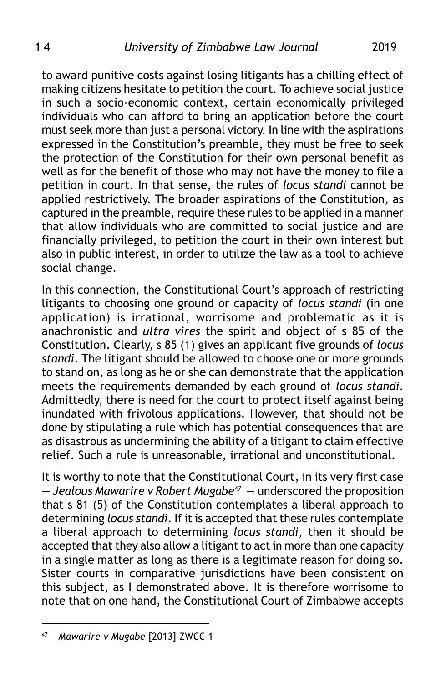to award punitive costs against losing litigants has a chilling effect of making citizens hesitate to petition the court. To achieve social justice in such a socio-economic context, certain economically privileged individuals who can afford to bring an application before the court must seek more than just a personal victory. In line with the aspirations expressed in the Constitution's preamble, they must be free to seek the protection of the Constitution for their own personal benefit as well as for the benefit of those who may not have the money to file a petition in court. In that sense, the rules of *locus standi* cannot be applied restrictively. The broader aspirations of the Constitution, as captured in the preamble, require these rules to be applied in a manner that allow individuals who are committed to social justice and are financially privileged, to petition the court in their own interest but also in public interest, in order to utilize the law as a tool to achieve social change.

In this connection, the Constitutional Court's approach of restricting litigants to choosing one ground or capacity of *locus standi* (in one application) is irrational, worrisome and problematic as it is anachronistic and *ultra vires* the spirit and object of s 85 of the Constitution. Clearly, s 85 (1) gives an applicant five grounds of *locus standi*. The litigant should be allowed to choose one or more grounds to stand on, as long as he or she can demonstrate that the application meets the requirements demanded by each ground of *locus standi*. Admittedly, there is need for the court to protect itself against being inundated with frivolous applications. However, that should not be done by stipulating a rule which has potential consequences that are as disastrous as undermining the ability of a litigant to claim effective relief. Such a rule is unreasonable, irrational and unconstitutional.

It is worthy to note that the Constitutional Court, in its very first case — *Jealous Mawarire v Robert Mugabe*<sup>47</sup> — underscored the proposition that s 81 (5) of the Constitution contemplates a liberal approach to determining *locus standi*. If it is accepted that these rules contemplate a liberal approach to determining *locus standi*, then it should be accepted that they also allow a litigant to act in more than one capacity in a single matter as long as there is a legitimate reason for doing so. Sister courts in comparative jurisdictions have been consistent on this subject, as I demonstrated above. It is therefore worrisome to note that on one hand, the Constitutional Court of Zimbabwe accepts

<sup>47</sup> *Mawarire v Mugabe* [2013] ZWCC 1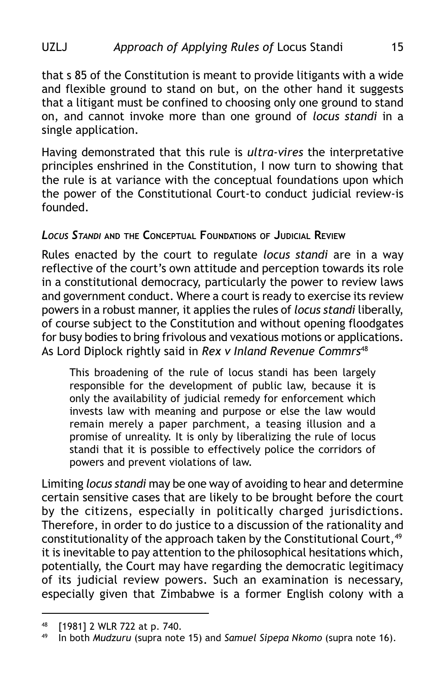### UZLJ *Approach of Applying Rules of* Locus Standi 15

that s 85 of the Constitution is meant to provide litigants with a wide and flexible ground to stand on but, on the other hand it suggests that a litigant must be confined to choosing only one ground to stand on, and cannot invoke more than one ground of *locus standi* in a single application.

Having demonstrated that this rule is *ultra-vires* the interpretative principles enshrined in the Constitution, I now turn to showing that the rule is at variance with the conceptual foundations upon which the power of the Constitutional Court-to conduct judicial review-is founded.

#### *LOCUS STANDI* **AND THE CONCEPTUAL FOUNDATIONS OF JUDICIAL REVIEW**

Rules enacted by the court to regulate *locus standi* are in a way reflective of the court's own attitude and perception towards its role in a constitutional democracy, particularly the power to review laws and government conduct. Where a court is ready to exercise its review powers in a robust manner, it applies the rules of *locus standi* liberally, of course subject to the Constitution and without opening floodgates for busy bodies to bring frivolous and vexatious motions or applications. As Lord Diplock rightly said in *Rex v Inland Revenue Commrs*<sup>48</sup>

This broadening of the rule of locus standi has been largely responsible for the development of public law, because it is only the availability of judicial remedy for enforcement which invests law with meaning and purpose or else the law would remain merely a paper parchment, a teasing illusion and a promise of unreality. It is only by liberalizing the rule of locus standi that it is possible to effectively police the corridors of powers and prevent violations of law.

Limiting *locus standi* may be one way of avoiding to hear and determine certain sensitive cases that are likely to be brought before the court by the citizens, especially in politically charged jurisdictions. Therefore, in order to do justice to a discussion of the rationality and constitutionality of the approach taken by the Constitutional Court, 49 it is inevitable to pay attention to the philosophical hesitations which, potentially, the Court may have regarding the democratic legitimacy of its judicial review powers. Such an examination is necessary, especially given that Zimbabwe is a former English colony with a

 $48$  [1981] 2 WLR 722 at p. 740.

<sup>49</sup> In both *Mudzuru* (supra note 15) and *Samuel Sipepa Nkomo* (supra note 16).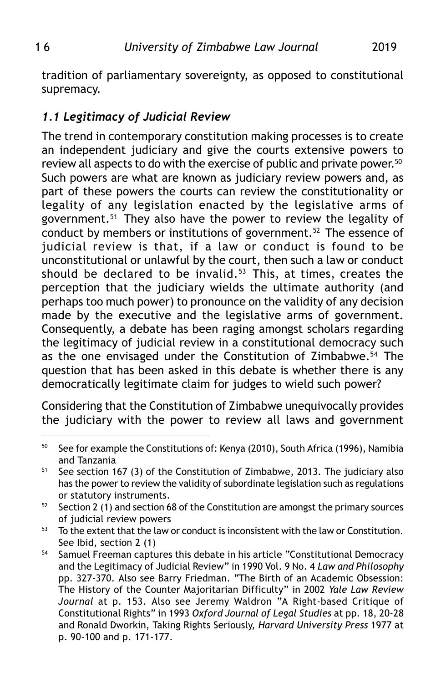tradition of parliamentary sovereignty, as opposed to constitutional supremacy.

## *1.1 Legitimacy of Judicial Review*

The trend in contemporary constitution making processes is to create an independent judiciary and give the courts extensive powers to review all aspects to do with the exercise of public and private power.<sup>50</sup> Such powers are what are known as judiciary review powers and, as part of these powers the courts can review the constitutionality or legality of any legislation enacted by the legislative arms of government.51 They also have the power to review the legality of conduct by members or institutions of government.<sup>52</sup> The essence of judicial review is that, if a law or conduct is found to be unconstitutional or unlawful by the court, then such a law or conduct should be declared to be invalid. $53$  This, at times, creates the perception that the judiciary wields the ultimate authority (and perhaps too much power) to pronounce on the validity of any decision made by the executive and the legislative arms of government. Consequently, a debate has been raging amongst scholars regarding the legitimacy of judicial review in a constitutional democracy such as the one envisaged under the Constitution of Zimbabwe.<sup>54</sup> The question that has been asked in this debate is whether there is any democratically legitimate claim for judges to wield such power?

Considering that the Constitution of Zimbabwe unequivocally provides the judiciary with the power to review all laws and government

 $50$  See for example the Constitutions of: Kenya (2010), South Africa (1996), Namibia and Tanzania

 $51$  See section 167 (3) of the Constitution of Zimbabwe, 2013. The judiciary also has the power to review the validity of subordinate legislation such as regulations or statutory instruments.

 $52$  Section 2 (1) and section 68 of the Constitution are amongst the primary sources of judicial review powers

 $53$  To the extent that the law or conduct is inconsistent with the law or Constitution. See Ibid, section 2 (1)

<sup>&</sup>lt;sup>54</sup> Samuel Freeman captures this debate in his article "Constitutional Democracy and the Legitimacy of Judicial Review" in 1990 Vol. 9 No. 4 *Law and Philosophy* pp. 327-370. Also see Barry Friedman. "The Birth of an Academic Obsession: The History of the Counter Majoritarian Difficulty" in 2002 *Yale Law Review Journal* at p. 153. Also see Jeremy Waldron "A Right-based Critique of Constitutional Rights" in 1993 *Oxford Journal of Legal Studies* at pp. 18, 20-28 and Ronald Dworkin, Taking Rights Seriously, *Harvard University Press* 1977 at p. 90-100 and p. 171-177.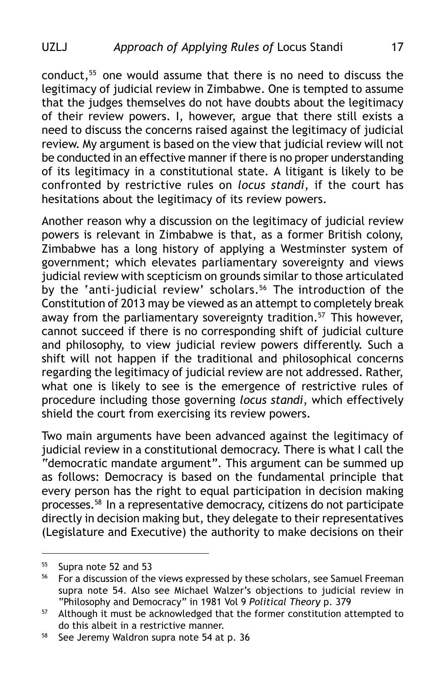conduct,55 one would assume that there is no need to discuss the legitimacy of judicial review in Zimbabwe. One is tempted to assume that the judges themselves do not have doubts about the legitimacy of their review powers. I, however, argue that there still exists a need to discuss the concerns raised against the legitimacy of judicial review. My argument is based on the view that judicial review will not be conducted in an effective manner if there is no proper understanding of its legitimacy in a constitutional state. A litigant is likely to be confronted by restrictive rules on *locus standi*, if the court has hesitations about the legitimacy of its review powers.

Another reason why a discussion on the legitimacy of judicial review powers is relevant in Zimbabwe is that, as a former British colony, Zimbabwe has a long history of applying a Westminster system of government; which elevates parliamentary sovereignty and views judicial review with scepticism on grounds similar to those articulated by the 'anti-judicial review' scholars.<sup>56</sup> The introduction of the Constitution of 2013 may be viewed as an attempt to completely break away from the parliamentary sovereignty tradition.<sup>57</sup> This however, cannot succeed if there is no corresponding shift of judicial culture and philosophy, to view judicial review powers differently. Such a shift will not happen if the traditional and philosophical concerns regarding the legitimacy of judicial review are not addressed. Rather, what one is likely to see is the emergence of restrictive rules of procedure including those governing *locus standi*, which effectively shield the court from exercising its review powers.

Two main arguments have been advanced against the legitimacy of judicial review in a constitutional democracy. There is what I call the "democratic mandate argument". This argument can be summed up as follows: Democracy is based on the fundamental principle that every person has the right to equal participation in decision making processes.58 In a representative democracy, citizens do not participate directly in decision making but, they delegate to their representatives (Legislature and Executive) the authority to make decisions on their

 $^{55}$  Supra note 52 and 53<br> $^{56}$  For a discussion of the

<sup>56</sup> For a discussion of the views expressed by these scholars, see Samuel Freeman supra note 54. Also see Michael Walzer's objections to judicial review in "Philosophy and Democracy" in 1981 Vol 9 *Political Theory* p. 379

<sup>&</sup>lt;sup>57</sup> Although it must be acknowledged that the former constitution attempted to do this albeit in a restrictive manner.

<sup>&</sup>lt;sup>58</sup> See Jeremy Waldron supra note 54 at p. 36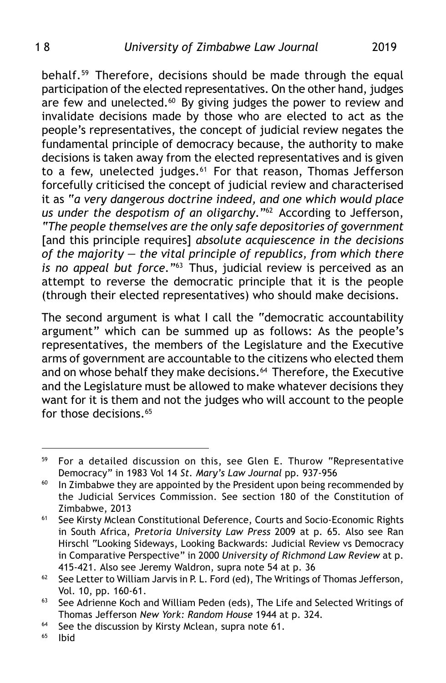behalf.59 Therefore, decisions should be made through the equal participation of the elected representatives. On the other hand, judges are few and unelected. $60$  By giving judges the power to review and invalidate decisions made by those who are elected to act as the people's representatives, the concept of judicial review negates the fundamental principle of democracy because, the authority to make decisions is taken away from the elected representatives and is given to a few, unelected judges.<sup>61</sup> For that reason, Thomas Jefferson forcefully criticised the concept of judicial review and characterised it as "*a very dangerous doctrine indeed, and one which would place us under the despotism of an oligarchy*."62 According to Jefferson, *"The people themselves are the only safe depositories of government* [and this principle requires] *absolute acquiescence in the decisions of the majority — the vital principle of republics, from which there is no appeal but force."*63 Thus, judicial review is perceived as an attempt to reverse the democratic principle that it is the people (through their elected representatives) who should make decisions.

The second argument is what I call the "democratic accountability argument" which can be summed up as follows: As the people's representatives, the members of the Legislature and the Executive arms of government are accountable to the citizens who elected them and on whose behalf they make decisions.<sup>64</sup> Therefore, the Executive and the Legislature must be allowed to make whatever decisions they want for it is them and not the judges who will account to the people for those decisions.<sup>65</sup>

<sup>&</sup>lt;sup>59</sup> For a detailed discussion on this, see Glen E. Thurow "Representative Democracy" in 1983 Vol 14 *St. Mary's Law Journal* pp. 937-956

 $60$  In Zimbabwe they are appointed by the President upon being recommended by the Judicial Services Commission. See section 180 of the Constitution of Zimbabwe, 2013

<sup>&</sup>lt;sup>61</sup> See Kirsty Mclean Constitutional Deference, Courts and Socio-Economic Rights in South Africa, *Pretoria University Law Press* 2009 at p. 65*.* Also see Ran Hirschl "Looking Sideways, Looking Backwards: Judicial Review vs Democracy in Comparative Perspective" in 2000 *University of Richmond Law Review* at p. 415-421. Also see Jeremy Waldron, supra note 54 at p. 36

<sup>62</sup> See Letter to William Jarvis in P. L. Ford (ed), The Writings of Thomas Jefferson*,* Vol. 10, pp. 160-61.

 $63$  See Adrienne Koch and William Peden (eds), The Life and Selected Writings of Thomas Jefferson *New York: Random House* 1944 at p. 324.

<sup>&</sup>lt;sup>64</sup> See the discussion by Kirsty Mclean, supra note 61.

<sup>65</sup> Ibid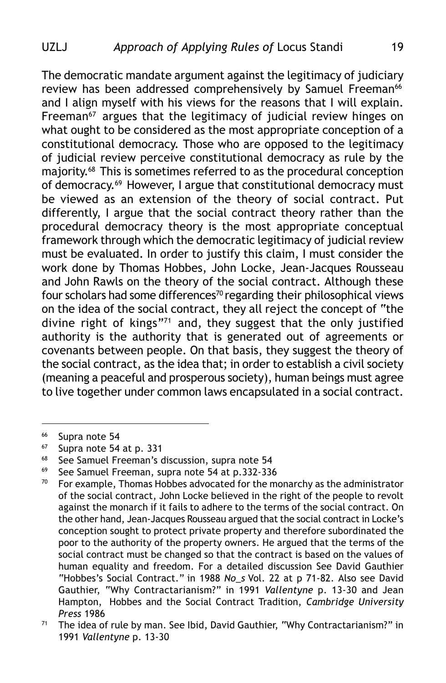The democratic mandate argument against the legitimacy of judiciary review has been addressed comprehensively by Samuel Freeman<sup>66</sup> and I align myself with his views for the reasons that I will explain. Freeman<sup>67</sup> argues that the legitimacy of judicial review hinges on what ought to be considered as the most appropriate conception of a constitutional democracy. Those who are opposed to the legitimacy of judicial review perceive constitutional democracy as rule by the majority.68 This is sometimes referred to as the procedural conception of democracy.69 However, I argue that constitutional democracy must be viewed as an extension of the theory of social contract. Put differently, I argue that the social contract theory rather than the procedural democracy theory is the most appropriate conceptual framework through which the democratic legitimacy of judicial review must be evaluated. In order to justify this claim, I must consider the work done by Thomas Hobbes, John Locke, Jean-Jacques Rousseau and John Rawls on the theory of the social contract. Although these four scholars had some differences<sup>70</sup> regarding their philosophical views on the idea of the social contract, they all reject the concept of "the divine right of kings"71 and, they suggest that the only justified authority is the authority that is generated out of agreements or covenants between people. On that basis, they suggest the theory of the social contract, as the idea that; in order to establish a civil society (meaning a peaceful and prosperous society), human beings must agree to live together under common laws encapsulated in a social contract.

 $^{66}$  Supra note 54

Supra note 54 at p. 331

<sup>&</sup>lt;sup>68</sup> See Samuel Freeman's discussion, supra note 54

<sup>69</sup> See Samuel Freeman, supra note 54 at p.332-336

 $70$  For example, Thomas Hobbes advocated for the monarchy as the administrator of the social contract, John Locke believed in the right of the people to revolt against the monarch if it fails to adhere to the terms of the social contract. On the other hand, Jean-Jacques Rousseau argued that the social contract in Locke's conception sought to protect private property and therefore subordinated the poor to the authority of the property owners. He argued that the terms of the social contract must be changed so that the contract is based on the values of human equality and freedom. For a detailed discussion See David Gauthier "Hobbes's Social Contract." in 1988 *No\_s* Vol. 22 at p 71-82. Also see David Gauthier, "Why Contractarianism?" in 1991 *Vallentyne* p. 13-30 and Jean Hampton, Hobbes and the Social Contract Tradition, *Cambridge University Press* 1986

 $71$  The idea of rule by man. See Ibid, David Gauthier, "Why Contractarianism?" in 1991 *Vallentyne* p. 13-30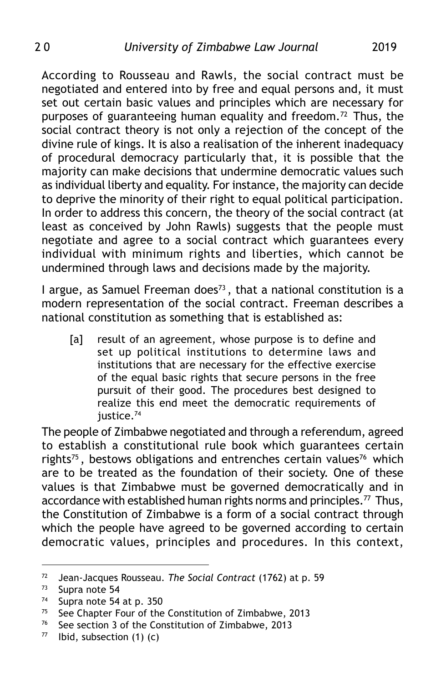According to Rousseau and Rawls, the social contract must be negotiated and entered into by free and equal persons and, it must set out certain basic values and principles which are necessary for purposes of guaranteeing human equality and freedom.<sup>72</sup> Thus, the social contract theory is not only a rejection of the concept of the divine rule of kings. It is also a realisation of the inherent inadequacy of procedural democracy particularly that, it is possible that the majority can make decisions that undermine democratic values such as individual liberty and equality. For instance, the majority can decide to deprive the minority of their right to equal political participation. In order to address this concern, the theory of the social contract (at least as conceived by John Rawls) suggests that the people must negotiate and agree to a social contract which guarantees every individual with minimum rights and liberties, which cannot be undermined through laws and decisions made by the majority.

I argue, as Samuel Freeman does $^{73}$ , that a national constitution is a modern representation of the social contract. Freeman describes a national constitution as something that is established as:

[a] result of an agreement, whose purpose is to define and set up political institutions to determine laws and institutions that are necessary for the effective exercise of the equal basic rights that secure persons in the free pursuit of their good. The procedures best designed to realize this end meet the democratic requirements of justice.<sup>74</sup>

The people of Zimbabwe negotiated and through a referendum, agreed to establish a constitutional rule book which guarantees certain rights<sup>75</sup>, bestows obligations and entrenches certain values<sup>76</sup> which are to be treated as the foundation of their society. One of these values is that Zimbabwe must be governed democratically and in accordance with established human rights norms and principles.<sup>77</sup> Thus, the Constitution of Zimbabwe is a form of a social contract through which the people have agreed to be governed according to certain democratic values, principles and procedures. In this context,

<sup>72</sup> Jean-Jacques Rousseau. *The Social Contract* (1762) at p. 59

 $73$  Supra note 54

Supra note 54 at p. 350

<sup>75</sup> See Chapter Four of the Constitution of Zimbabwe, 2013

<sup>76</sup> See section 3 of the Constitution of Zimbabwe, 2013

 $77$  Ibid, subsection (1) (c)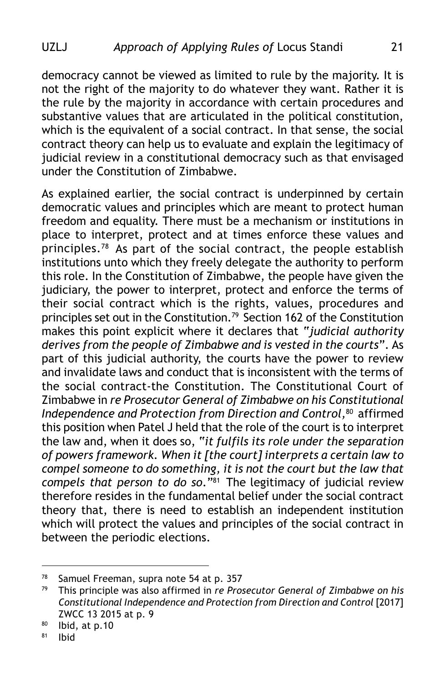democracy cannot be viewed as limited to rule by the majority. It is not the right of the majority to do whatever they want. Rather it is the rule by the majority in accordance with certain procedures and substantive values that are articulated in the political constitution, which is the equivalent of a social contract. In that sense, the social contract theory can help us to evaluate and explain the legitimacy of judicial review in a constitutional democracy such as that envisaged under the Constitution of Zimbabwe.

As explained earlier, the social contract is underpinned by certain democratic values and principles which are meant to protect human freedom and equality. There must be a mechanism or institutions in place to interpret, protect and at times enforce these values and principles.78 As part of the social contract, the people establish institutions unto which they freely delegate the authority to perform this role. In the Constitution of Zimbabwe, the people have given the judiciary, the power to interpret, protect and enforce the terms of their social contract which is the rights, values, procedures and principles set out in the Constitution.<sup>79</sup> Section 162 of the Constitution makes this point explicit where it declares that "*judicial authority derives from the people of Zimbabwe and is vested in the courts*". As part of this judicial authority, the courts have the power to review and invalidate laws and conduct that is inconsistent with the terms of the social contract-the Constitution. The Constitutional Court of Zimbabwe in *re Prosecutor General of Zimbabwe on his Constitutional Independence and Protection from Direction and Control,*80 affirmed this position when Patel J held that the role of the court is to interpret the law and, when it does so, "*it fulfils its role under the separation of powers framework. When it [the court] interprets a certain law to compel someone to do something, it is not the court but the law that compels that person to do so*."81 The legitimacy of judicial review therefore resides in the fundamental belief under the social contract theory that, there is need to establish an independent institution which will protect the values and principles of the social contract in between the periodic elections.

<sup>&</sup>lt;sup>78</sup> Samuel Freeman, supra note 54 at p. 357

<sup>79</sup> This principle was also affirmed in *re Prosecutor General of Zimbabwe on his Constitutional Independence and Protection from Direction and Control* [2017] ZWCC 13 2015 at p. 9

 $80$  Ibid, at p.10

 $81$  Ibid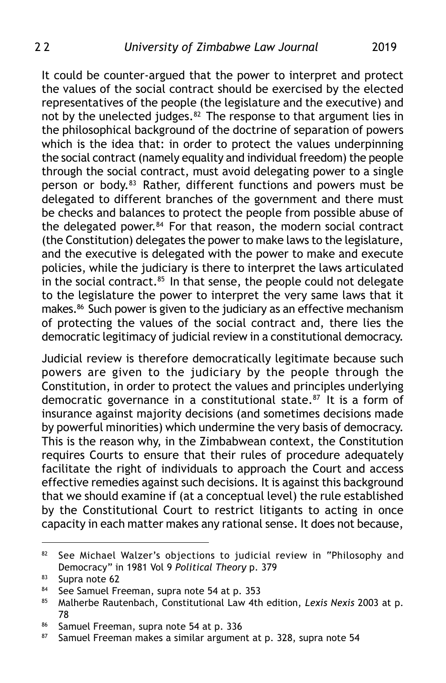It could be counter-argued that the power to interpret and protect the values of the social contract should be exercised by the elected representatives of the people (the legislature and the executive) and not by the unelected judges.<sup>82</sup> The response to that argument lies in the philosophical background of the doctrine of separation of powers which is the idea that: in order to protect the values underpinning the social contract (namely equality and individual freedom) the people through the social contract, must avoid delegating power to a single person or body.83 Rather, different functions and powers must be delegated to different branches of the government and there must be checks and balances to protect the people from possible abuse of the delegated power.<sup>84</sup> For that reason, the modern social contract (the Constitution) delegates the power to make laws to the legislature, and the executive is delegated with the power to make and execute policies, while the judiciary is there to interpret the laws articulated in the social contract. $85$  In that sense, the people could not delegate to the legislature the power to interpret the very same laws that it makes.86 Such power is given to the judiciary as an effective mechanism of protecting the values of the social contract and, there lies the democratic legitimacy of judicial review in a constitutional democracy.

Judicial review is therefore democratically legitimate because such powers are given to the judiciary by the people through the Constitution, in order to protect the values and principles underlying democratic governance in a constitutional state.<sup>87</sup> It is a form of insurance against majority decisions (and sometimes decisions made by powerful minorities) which undermine the very basis of democracy. This is the reason why, in the Zimbabwean context, the Constitution requires Courts to ensure that their rules of procedure adequately facilitate the right of individuals to approach the Court and access effective remedies against such decisions. It is against this background that we should examine if (at a conceptual level) the rule established by the Constitutional Court to restrict litigants to acting in once capacity in each matter makes any rational sense. It does not because,

<sup>82</sup> See Michael Walzer's objections to judicial review in "Philosophy and Democracy" in 1981 Vol 9 *Political Theory* p. 379

<sup>83</sup> Supra note 62

<sup>84</sup> See Samuel Freeman, supra note 54 at p. 353

<sup>85</sup> Malherbe Rautenbach, Constitutional Law 4th edition, *Lexis Nexis* 2003 at p. 78

<sup>86</sup> Samuel Freeman, supra note 54 at p. 336

<sup>87</sup> Samuel Freeman makes a similar argument at p. 328, supra note 54